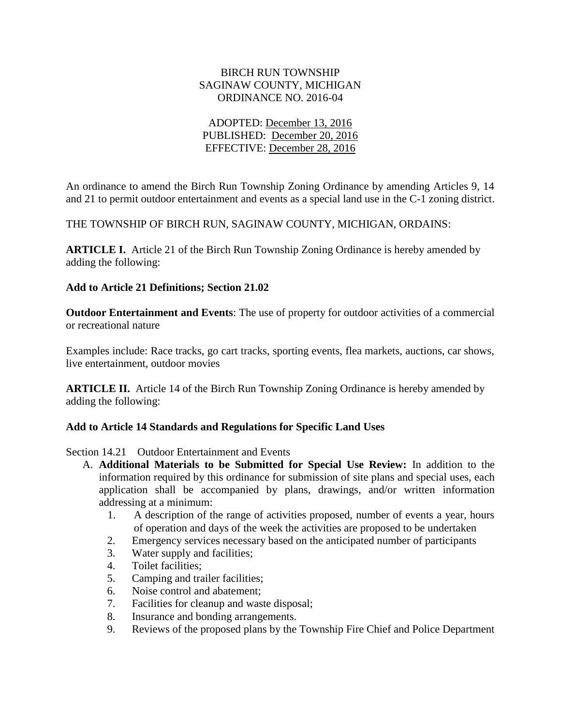#### BIRCH RUN TOWNSHIP SAGINAW COUNTY, MICHIGAN ORDINANCE NO. 2016-04

## ADOPTED: December 13, 2016 PUBLISHED: December 20, 2016 EFFECTIVE: December 28, 2016

An ordinance to amend the Birch Run Township Zoning Ordinance by amending Articles 9, 14 and 21 to permit outdoor entertainment and events as a special land use in the C-1 zoning district.

THE TOWNSHIP OF BIRCH RUN, SAGINAW COUNTY, MICHIGAN, ORDAINS:

**ARTICLE I.** Article 21 of the Birch Run Township Zoning Ordinance is hereby amended by adding the following:

## **Add to Article 21 Definitions; Section 21.02**

**Outdoor Entertainment and Events**: The use of property for outdoor activities of a commercial or recreational nature

Examples include: Race tracks, go cart tracks, sporting events, flea markets, auctions, car shows, live entertainment, outdoor movies

**ARTICLE II.** Article 14 of the Birch Run Township Zoning Ordinance is hereby amended by adding the following:

#### **Add to Article 14 Standards and Regulations for Specific Land Uses**

Section 14.21 Outdoor Entertainment and Events

- A. **Additional Materials to be Submitted for Special Use Review:** In addition to the information required by this ordinance for submission of site plans and special uses, each application shall be accompanied by plans, drawings, and/or written information addressing at a minimum:
	- 1. A description of the range of activities proposed, number of events a year, hours of operation and days of the week the activities are proposed to be undertaken
	- 2. Emergency services necessary based on the anticipated number of participants
	- 3. Water supply and facilities;
	- 4. Toilet facilities;
	- 5. Camping and trailer facilities;
	- 6. Noise control and abatement;
	- 7. Facilities for cleanup and waste disposal;
	- 8. Insurance and bonding arrangements.
	- 9. Reviews of the proposed plans by the Township Fire Chief and Police Department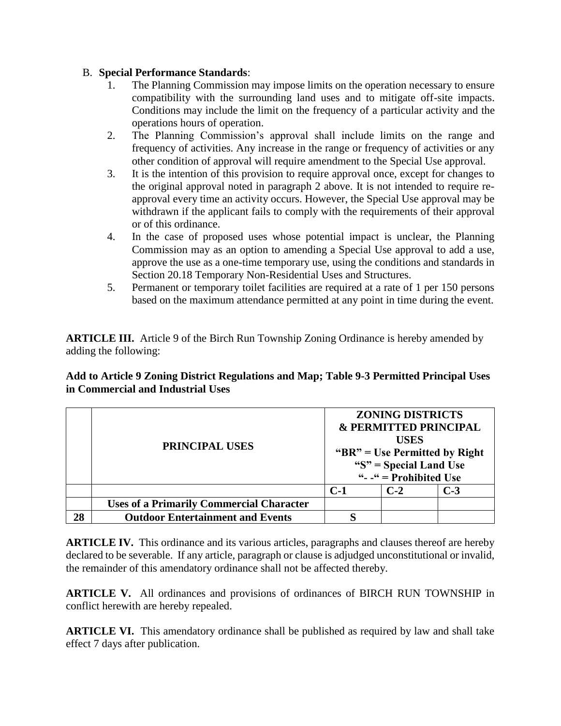# B. **Special Performance Standards**:

- The Planning Commission may impose limits on the operation necessary to ensure compatibility with the surrounding land uses and to mitigate off-site impacts. Conditions may include the limit on the frequency of a particular activity and the operations hours of operation.
- 2. The Planning Commission's approval shall include limits on the range and frequency of activities. Any increase in the range or frequency of activities or any other condition of approval will require amendment to the Special Use approval.
- 3. It is the intention of this provision to require approval once, except for changes to the original approval noted in paragraph 2 above. It is not intended to require reapproval every time an activity occurs. However, the Special Use approval may be withdrawn if the applicant fails to comply with the requirements of their approval or of this ordinance.
- 4. In the case of proposed uses whose potential impact is unclear, the Planning Commission may as an option to amending a Special Use approval to add a use, approve the use as a one-time temporary use, using the conditions and standards in Section 20.18 Temporary Non-Residential Uses and Structures.
- 5. Permanent or temporary toilet facilities are required at a rate of 1 per 150 persons based on the maximum attendance permitted at any point in time during the event.

**ARTICLE III.** Article 9 of the Birch Run Township Zoning Ordinance is hereby amended by adding the following:

## **Add to Article 9 Zoning District Regulations and Map; Table 9-3 Permitted Principal Uses in Commercial and Industrial Uses**

|    | PRINCIPAL USES                                  | <b>ZONING DISTRICTS</b><br><b>&amp; PERMITTED PRINCIPAL</b><br><b>USES</b><br>" $BR$ " = Use Permitted by Right<br>" $S$ " = Special Land Use<br>" $-$ " = Prohibited Use |       |       |
|----|-------------------------------------------------|---------------------------------------------------------------------------------------------------------------------------------------------------------------------------|-------|-------|
|    |                                                 | $C-1$                                                                                                                                                                     | $C-2$ | $C-3$ |
|    | <b>Uses of a Primarily Commercial Character</b> |                                                                                                                                                                           |       |       |
| 28 | <b>Outdoor Entertainment and Events</b>         | Q                                                                                                                                                                         |       |       |

**ARTICLE IV.** This ordinance and its various articles, paragraphs and clauses thereof are hereby declared to be severable. If any article, paragraph or clause is adjudged unconstitutional or invalid, the remainder of this amendatory ordinance shall not be affected thereby.

**ARTICLE V.** All ordinances and provisions of ordinances of BIRCH RUN TOWNSHIP in conflict herewith are hereby repealed.

**ARTICLE VI.** This amendatory ordinance shall be published as required by law and shall take effect 7 days after publication.